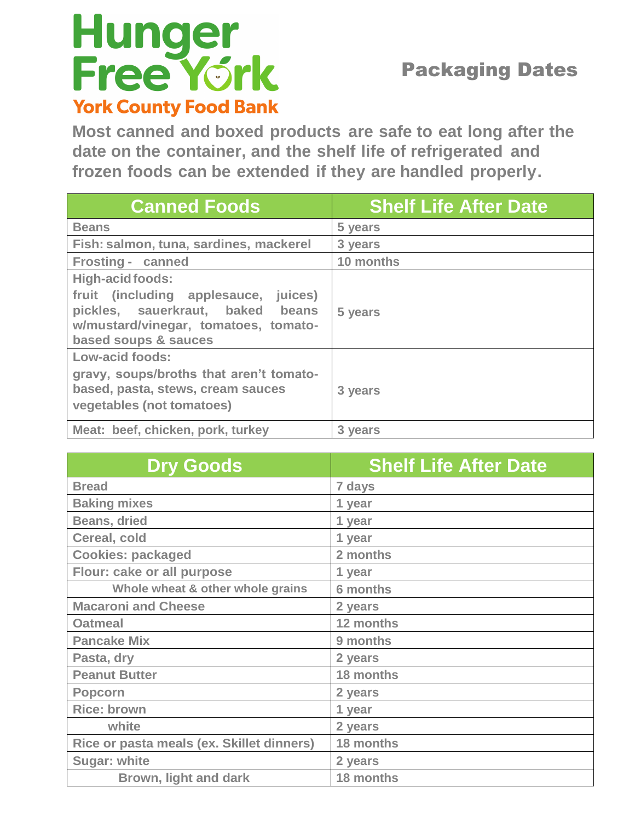## Hunger<br>Free York **York County Food Bank**

## Packaging Dates

**Most canned and boxed products are safe to eat long after the date on the container, and the shelf life of refrigerated and frozen foods can be extended if they are handled properly.**

| <b>Canned Foods</b>                                                                                                                                          | <b>Shelf Life After Date</b> |
|--------------------------------------------------------------------------------------------------------------------------------------------------------------|------------------------------|
| <b>Beans</b>                                                                                                                                                 | 5 years                      |
| Fish: salmon, tuna, sardines, mackerel                                                                                                                       | 3 years                      |
| Frosting - canned                                                                                                                                            | 10 months                    |
| High-acid foods:<br>fruit (including applesauce, juices)<br>pickles, sauerkraut, baked beans<br>w/mustard/vinegar, tomatoes, tomato-<br>based soups & sauces | 5 years                      |
| Low-acid foods:                                                                                                                                              |                              |
| gravy, soups/broths that aren't tomato-<br>based, pasta, stews, cream sauces<br>vegetables (not tomatoes)                                                    | 3 years                      |
| Meat: beef, chicken, pork, turkey                                                                                                                            | 3 years                      |

| <b>Dry Goods</b>                          | <b>Shelf Life After Date</b> |
|-------------------------------------------|------------------------------|
| <b>Bread</b>                              | 7 days                       |
| <b>Baking mixes</b>                       | 1 year                       |
| <b>Beans, dried</b>                       | 1 year                       |
| Cereal, cold                              | 1 year                       |
| <b>Cookies: packaged</b>                  | 2 months                     |
| Flour: cake or all purpose                | 1 year                       |
| Whole wheat & other whole grains          | <b>6 months</b>              |
| <b>Macaroni and Cheese</b>                | 2 years                      |
| <b>Oatmeal</b>                            | 12 months                    |
| <b>Pancake Mix</b>                        | 9 months                     |
| Pasta, dry                                | 2 years                      |
| <b>Peanut Butter</b>                      | 18 months                    |
| <b>Popcorn</b>                            | 2 years                      |
| <b>Rice: brown</b>                        | 1 year                       |
| white                                     | 2 years                      |
| Rice or pasta meals (ex. Skillet dinners) | 18 months                    |
| <b>Sugar: white</b>                       | 2 years                      |
| <b>Brown, light and dark</b>              | 18 months                    |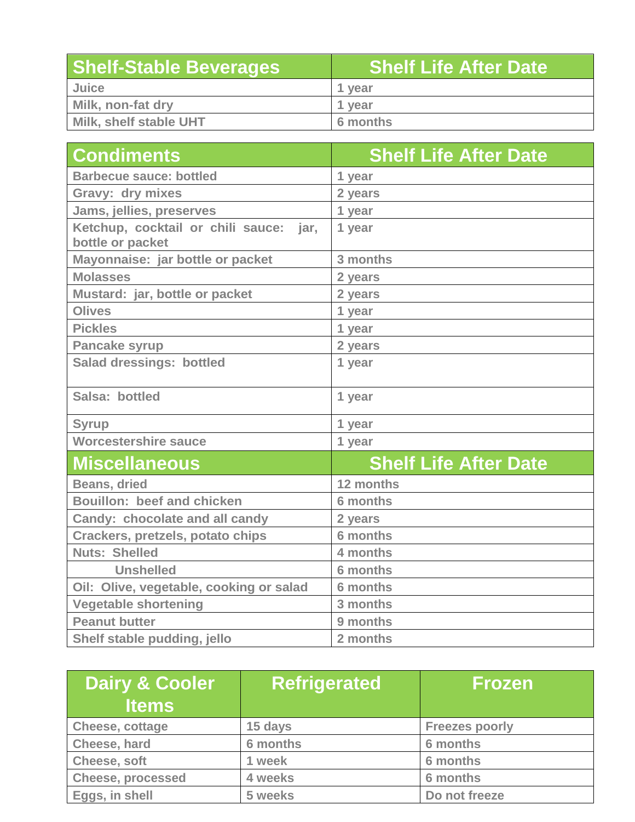| <b>Shelf-Stable Beverages</b> | <b>Shelf Life After Date</b> |
|-------------------------------|------------------------------|
| Juice                         | 1 vear                       |
| Milk, non-fat dry             | 1 year                       |
| Milk, shelf stable UHT        | 6 months                     |

| <b>Condiments</b>                                             | <b>Shelf Life After Date</b> |
|---------------------------------------------------------------|------------------------------|
| <b>Barbecue sauce: bottled</b>                                | 1 year                       |
| Gravy: dry mixes                                              | 2 years                      |
| Jams, jellies, preserves                                      | 1 year                       |
| Ketchup, cocktail or chili sauce:<br>jar,<br>bottle or packet | 1 year                       |
| Mayonnaise: jar bottle or packet                              | 3 months                     |
| <b>Molasses</b>                                               | 2 years                      |
| Mustard: jar, bottle or packet                                | 2 years                      |
| <b>Olives</b>                                                 | 1 year                       |
| <b>Pickles</b>                                                | 1 year                       |
| <b>Pancake syrup</b>                                          | 2 years                      |
| <b>Salad dressings: bottled</b>                               | 1 year                       |
| Salsa: bottled                                                | 1 year                       |
| <b>Syrup</b>                                                  | 1 year                       |
| <b>Worcestershire sauce</b>                                   | 1 year                       |
| <b>Miscellaneous</b>                                          | <b>Shelf Life After Date</b> |
| <b>Beans, dried</b>                                           | 12 months                    |
| Bouillon: beef and chicken                                    | 6 months                     |
| Candy: chocolate and all candy                                | 2 years                      |
| Crackers, pretzels, potato chips                              | <b>6 months</b>              |
| <b>Nuts: Shelled</b>                                          | 4 months                     |
| <b>Unshelled</b>                                              | <b>6 months</b>              |
| Oil: Olive, vegetable, cooking or salad                       | 6 months                     |
| <b>Vegetable shortening</b>                                   | 3 months                     |
| <b>Peanut butter</b>                                          | 9 months                     |
| Shelf stable pudding, jello                                   | 2 months                     |

| Dairy & Cooler<br><b>Items</b> | <b>Refrigerated</b> | <b>Frozen</b>         |
|--------------------------------|---------------------|-----------------------|
| <b>Cheese, cottage</b>         | 15 days             | <b>Freezes poorly</b> |
| Cheese, hard                   | 6 months            | 6 months              |
| Cheese, soft                   | 1 week              | 6 months              |
| <b>Cheese, processed</b>       | 4 weeks             | 6 months              |
| Eggs, in shell                 | 5 weeks             | Do not freeze         |